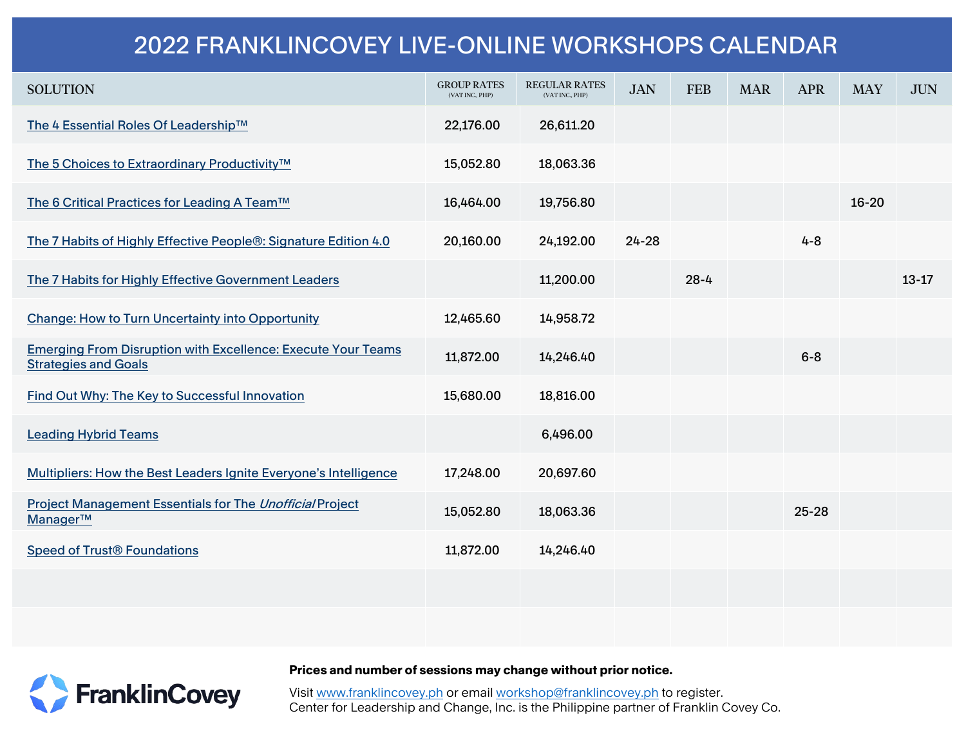## 2022 FRANKLINCOVEY LIVE-ONLINE WORKSHOPS CALENDAR

| <b>SOLUTION</b>                                                                                    | <b>GROUP RATES</b><br>(VAT INC., PHP) | <b>REGULAR RATES</b><br>(VAT INC., PHP) | <b>JAN</b> | <b>FEB</b> | <b>MAR</b> | <b>APR</b> | <b>MAY</b> | <b>JUN</b> |
|----------------------------------------------------------------------------------------------------|---------------------------------------|-----------------------------------------|------------|------------|------------|------------|------------|------------|
| The 4 Essential Roles Of Leadership™                                                               | 22,176.00                             | 26,611.20                               |            |            |            |            |            |            |
| The 5 Choices to Extraordinary Productivity™                                                       | 15,052.80                             | 18,063.36                               |            |            |            |            |            |            |
| The 6 Critical Practices for Leading A Team™                                                       | 16,464.00                             | 19,756.80                               |            |            |            |            | $16 - 20$  |            |
| The 7 Habits of Highly Effective People®: Signature Edition 4.0                                    | 20,160.00                             | 24,192.00                               | $24 - 28$  |            |            | $4 - 8$    |            |            |
| The 7 Habits for Highly Effective Government Leaders                                               |                                       | 11,200.00                               |            | $28 - 4$   |            |            |            | $13 - 17$  |
| <b>Change: How to Turn Uncertainty into Opportunity</b>                                            | 12,465.60                             | 14,958.72                               |            |            |            |            |            |            |
| <b>Emerging From Disruption with Excellence: Execute Your Teams</b><br><b>Strategies and Goals</b> | 11,872.00                             | 14,246.40                               |            |            |            | $6 - 8$    |            |            |
| Find Out Why: The Key to Successful Innovation                                                     | 15,680.00                             | 18,816.00                               |            |            |            |            |            |            |
| <b>Leading Hybrid Teams</b>                                                                        |                                       | 6,496.00                                |            |            |            |            |            |            |
| Multipliers: How the Best Leaders Ignite Everyone's Intelligence                                   | 17,248.00                             | 20,697.60                               |            |            |            |            |            |            |
| <b>Project Management Essentials for The Unofficial Project</b><br>Manager™                        | 15,052.80                             | 18,063.36                               |            |            |            | $25 - 28$  |            |            |
| <b>Speed of Trust<sup>®</sup> Foundations</b>                                                      | 11,872.00                             | 14,246.40                               |            |            |            |            |            |            |
|                                                                                                    |                                       |                                         |            |            |            |            |            |            |
|                                                                                                    |                                       |                                         |            |            |            |            |            |            |

**FranklinCovey** 

Prices and number of sessions may change without prior notice.

Visit www.franklincovey.ph or email workshop@franklincovey.ph to register. Center for Leadership and Change, Inc. is the Philippine partner of Franklin Covey Co.